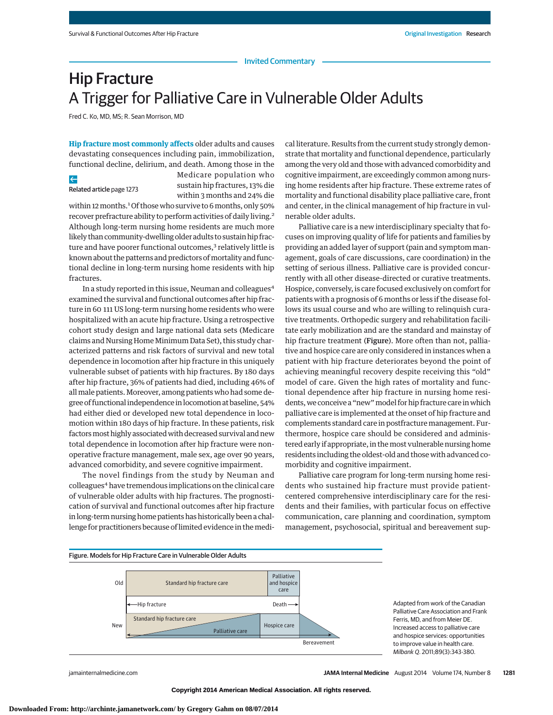## Hip Fracture A Trigger for Palliative Care in Vulnerable Older Adults

Fred C. Ko, MD, MS; R. Sean Morrison, MD

**Hip fracture most commonly affects** older adults and causes devastating consequences including pain, immobilization, functional decline, delirium, and death. Among those in the

## $\leftarrow$

Related article [page 1273](http://jama.jamanetwork.com/article.aspx?doi=10.1001/jamainternmed.2014.2362&utm_campaign=articlePDF%26utm_medium=articlePDFlink%26utm_source=articlePDF%26utm_content=jamainternmed.2014.999)

Medicare population who sustain hip fractures, 13% die within 3 months and 24% die

within 12 months.<sup>1</sup> Of those who survive to 6 months, only 50% recover prefracture ability to perform activities of daily living.2 Although long-term nursing home residents are much more likely than community-dwelling older adults to sustain hip fracture and have poorer functional outcomes,<sup>3</sup> relatively little is known about the patterns and predictors of mortality and functional decline in long-term nursing home residents with hip fractures.

In a study reported in this issue, Neuman and colleagues<sup>4</sup> examined the survival and functional outcomes after hip fracture in 60 111 US long-term nursing home residents who were hospitalized with an acute hip fracture. Using a retrospective cohort study design and large national data sets (Medicare claims and Nursing Home Minimum Data Set), this study characterized patterns and risk factors of survival and new total dependence in locomotion after hip fracture in this uniquely vulnerable subset of patients with hip fractures. By 180 days after hip fracture, 36% of patients had died, including 46% of allmale patients.Moreover, among patients who had some degree of functional independence in locomotion at baseline, 54% had either died or developed new total dependence in locomotion within 180 days of hip fracture. In these patients, risk factors most highly associated with decreased survival and new total dependence in locomotion after hip fracture were nonoperative fracture management, male sex, age over 90 years, advanced comorbidity, and severe cognitive impairment.

The novel findings from the study by Neuman and colleagues<sup>4</sup> have tremendous implications on the clinical care of vulnerable older adults with hip fractures. The prognostication of survival and functional outcomes after hip fracture in long-term nursing home patients has historically been a challenge for practitioners because of limited evidence in themedical literature. Results from the current study strongly demonstrate that mortality and functional dependence, particularly among the very old and those with advanced comorbidity and cognitive impairment, are exceedingly common among nursing home residents after hip fracture. These extreme rates of mortality and functional disability place palliative care, front and center, in the clinical management of hip fracture in vulnerable older adults.

Palliative care is a new interdisciplinary specialty that focuses on improving quality of life for patients and families by providing an added layer of support (pain and symptom management, goals of care discussions, care coordination) in the setting of serious illness. Palliative care is provided concurrently with all other disease-directed or curative treatments. Hospice, conversely, is care focused exclusively on comfort for patients with a prognosis of 6 months or less if the disease follows its usual course and who are willing to relinquish curative treatments. Orthopedic surgery and rehabilitation facilitate early mobilization and are the standard and mainstay of hip fracture treatment (Figure). More often than not, palliative and hospice care are only considered in instances when a patient with hip fracture deteriorates beyond the point of achieving meaningful recovery despite receiving this "old" model of care. Given the high rates of mortality and functional dependence after hip fracture in nursing home residents, we conceive a "new" model for hip fracture care in which palliative care is implemented at the onset of hip fracture and complements standard care in postfracture management. Furthermore, hospice care should be considered and administered early if appropriate, in themost vulnerable nursing home residents including the oldest-old and those with advanced comorbidity and cognitive impairment.

Palliative care program for long-term nursing home residents who sustained hip fracture must provide patientcentered comprehensive interdisciplinary care for the residents and their families, with particular focus on effective communication, care planning and coordination, symptom management, psychosocial, spiritual and bereavement sup-